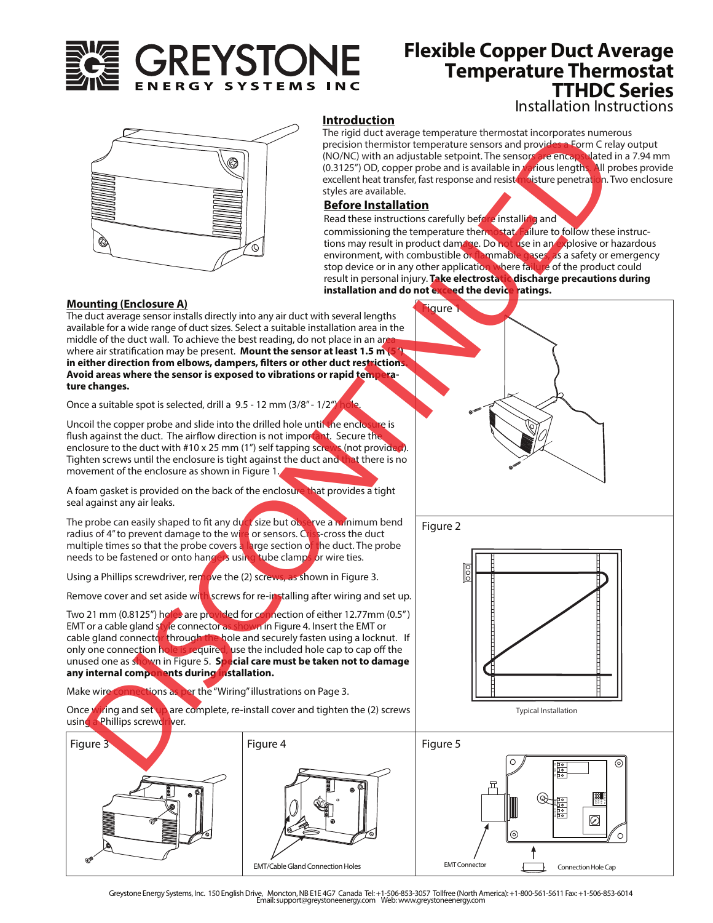

# **Flexible Copper Duct Average** Installation Instructions **Temperature Thermostat TTHDC Series**



## **Introduction**

The rigid duct average temperature thermostat incorporates numerous precision thermistor temperature sensors and provides a Form C relay output (NO/NC) with an adjustable setpoint. The sensors are encapsulated in a 7.94 mm (0.3125") OD, copper probe and is available in *Var*ious lengths. All probes provide excellent heat transfer, fast response and resist <mark>moisture penetratio</mark>n. Two enclosure styles are available.

# **Before Installation**

Read these instructions carefully before installing and

**igure** 

commissioning the temperature thermostat. Failure to follow these instructions may result in product damage. Do not use in an explosive or hazardous environment, with combustible or flammable gases, as a safety or emergency stop device or in any other application where failure of the product could result in personal injury. **Take electrostatic discharge precautions during installation and do not exceed the device ratings.** 

### **Mounting (Enclosure A)**

The duct average sensor installs directly into any air duct with several lengths available for a wide range of duct sizes. Select a suitable installation area in the middle of the duct wall. To achieve the best reading, do not place in an are where air stratification may be present. **Mount the sensor at least 1.5 m** in either direction from elbows, dampers, filters or other duct restrictions. **Avoid areas where the sensor is exposed to vibrations or rapid temperature changes.**

Once a suitable spot is selected, drill a  $9.5 - 12$  mm (3/8" -  $1/2$ ")

Uncoil the copper probe and slide into the drilled hole until the enclosure is flush against the duct. The airflow direction is not important. Secure the enclosure to the duct with #10 x 25 mm (1") self tapping screws (not provided Tighten screws until the enclosure is tight against the duct and that there is no movement of the enclosure as shown in Figure 1.

A foam gasket is provided on the back of the enclosure that provides a tight seal against any air leaks.

The probe can easily shaped to fit any duct size but observe a minimum bend radius of 4" to prevent damage to the wire or sensors. Criss-cross the duct multiple times so that the probe covers a large section of the duct. The probe needs to be fastened or onto hangers using tube clamps or wire ties.

Using a Phillips screwdriver, remove the (2) screws, as shown in Figure 3.

Remove cover and set aside with screws for re-installing after wiring and set up.

Two 21 mm (0.8125") holes are provided for connection of either 12.77mm (0.5") EMT or a cable gland style connector as shown in Figure 4. Insert the EMT or cable gland connector through the hole and securely fasten using a locknut. If only one connection hole is required, use the included hole cap to cap off the unused one as shown in Figure 5. **Special care must be taken not to damage any internal components during installation.** 

Make wire connections as per the "Wiring" illustrations on Page 3.

Once wiring and set up are complete, re-install cover and tighten the (2) screws using a Phillips screwdriver.







Greystone Energy Systems, Inc. 150 English Drive, Moncton, NB E1E 4G7 Canada Tel: +1-506-853-3057 Tollfree (North America): +1-800-561-5611 Fax: +1-506-853-6014 Email: support@greystoneenergy.com Web: www.greystoneenergy.com

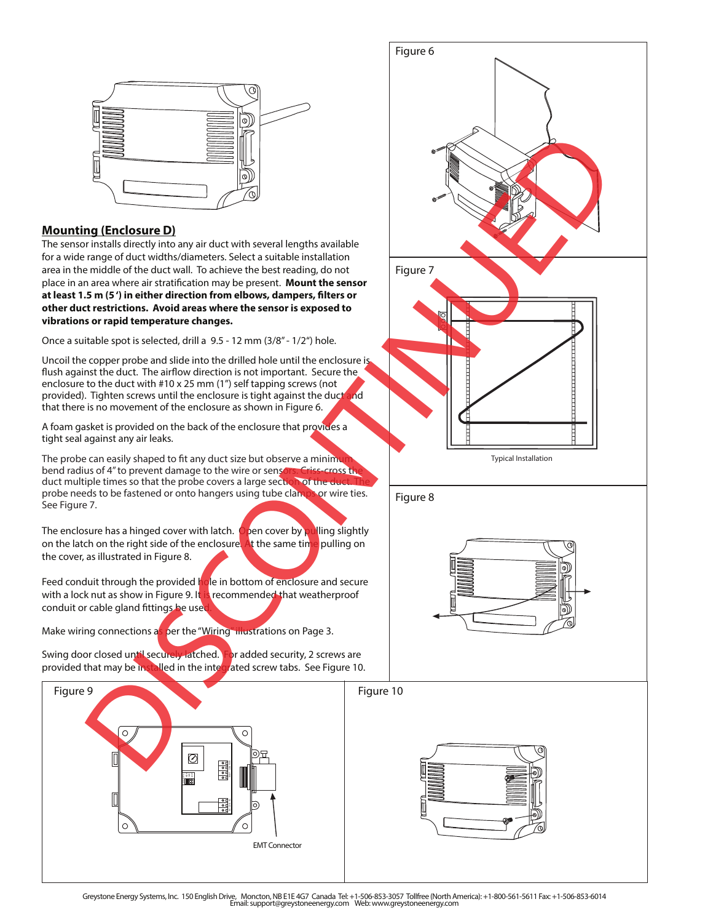

# **Mounting (Enclosure D)**

The sensor installs directly into any air duct with several lengths available for a wide range of duct widths/diameters. Select a suitable installation area in the middle of the duct wall. To achieve the best reading, do not place in an area where air stratification may be present. Mount the sensor at least 1.5 m (5<sup>'</sup>) in either direction from elbows, dampers, filters or **other duct restrictions. Avoid areas where the sensor is exposed to vibrations or rapid temperature changes.**

Once a suitable spot is selected, drill a 9.5 - 12 mm (3/8" - 1/2") hole.

Uncoil the copper probe and slide into the drilled hole until the enclosure is flush against the duct. The airflow direction is not important. Secure the enclosure to the duct with #10 x 25 mm (1") self tapping screws (not provided). Tighten screws until the enclosure is tight against the duct and that there is no movement of the enclosure as shown in Figure 6.

A foam gasket is provided on the back of the enclosure that provides a tight seal against any air leaks.

The probe can easily shaped to fit any duct size but observe a minimum bend radius of 4" to prevent damage to the wire or sensors. Criss-cross the duct multiple times so that the probe covers a large section of the d probe needs to be fastened or onto hangers using tube clamps or wire ties. See Figure 7.

The enclosure has a hinged cover with latch. Open cover by pulling slightly on the latch on the right side of the enclosure. At the same time pulling on the cover, as illustrated in Figure 8.

Feed conduit through the provided hole in bottom of enclosure and secure with a lock nut as show in Figure 9. It is recommended that weatherproof conduit or cable gland fittings be used

Make wiring connections as per the "Wiring" illustrations on Page 3.

Swing door closed until securely latched. For added security, 2 screws are provided that may be installed in the integrated screw tabs. See Figure 10.



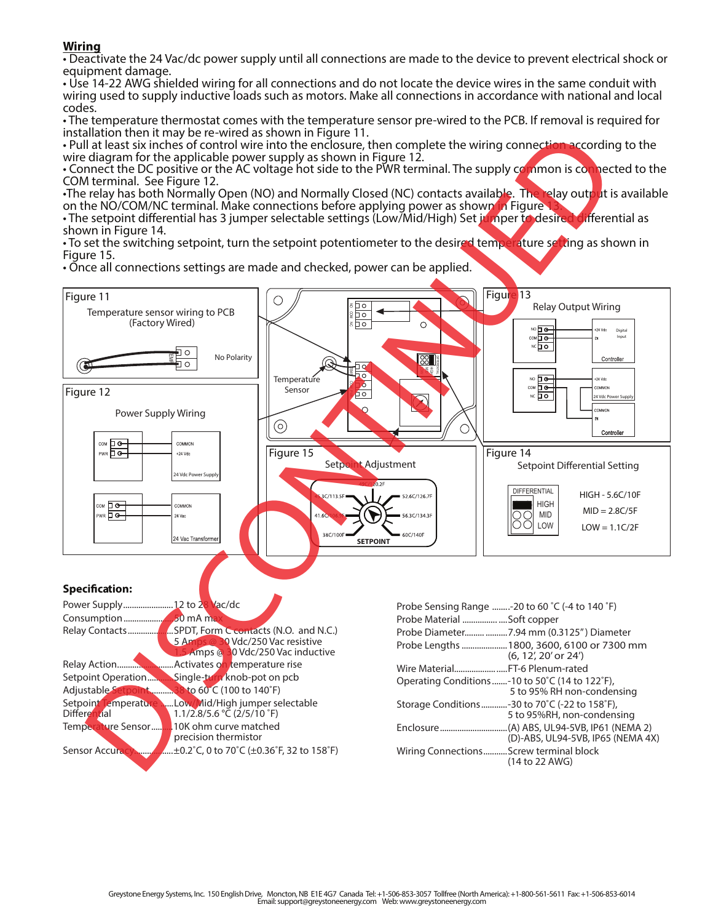**Wiring** • Deactivate the 24 Vac/dc power supply until all connections are made to the device to prevent electrical shock or equipment damage.

• Use 14-22 AWG shielded wiring for all connections and do not locate the device wires in the same conduit with wiring used to supply inductive loads such as motors. Make all connections in accordance with national and local codes.

• The temperature thermostat comes with the temperature sensor pre-wired to the PCB. If removal is required for installation then it may be re-wired as shown in Figure 11.

• Pull at least six inches of control wire into the enclosure, then complete the wiring connection according to the wire diagram for the applicable power supply as shown in Figure 12.

• Connect the DC positive or the AC voltage hot side to the PWR terminal. The supply common is connected to the COM terminal. See Figure 12.

•The relay has both Normally Open (NO) and Normally Closed (NC) contacts available. The relay output is available on the NO/COM/NC terminal. Make connections before applying power as shown in Figure

• The setpoint differential has 3 jumper selectable settings (Low/Mid/High) Set jumper to desired differential as shown in Figure 14.

• To set the switching setpoint, turn the setpoint potentiometer to the desired temperature setting as shown in Figure 15.

• Once all connections settings are made and checked, power can be applied.